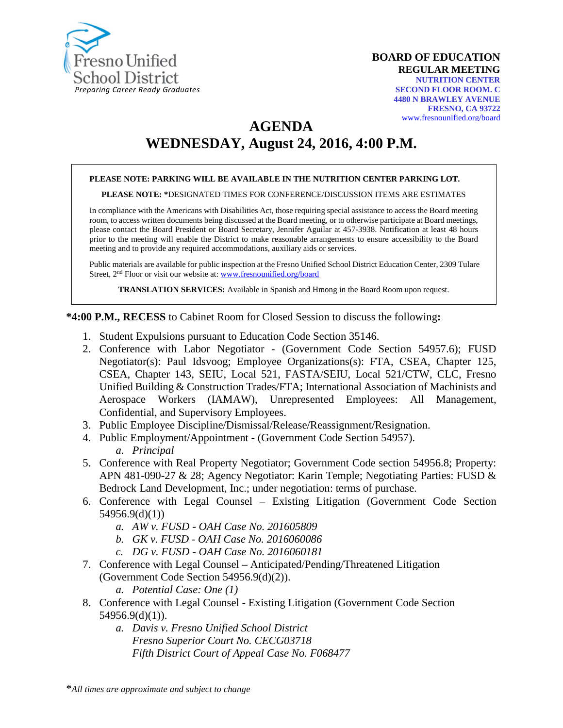

**BOARD OF EDUCATION REGULAR MEETING NUTRITION CENTER SECOND FLOOR ROOM. C 4480 N BRAWLEY AVENUE FRESNO, CA 93722** [www.fresnounified.org/board](http://www.fresnounified.org/board)

**AGENDA**

# **WEDNESDAY, August 24, 2016, 4:00 P.M.**

#### **PLEASE NOTE: PARKING WILL BE AVAILABLE IN THE NUTRITION CENTER PARKING LOT.**

#### **PLEASE NOTE: \***DESIGNATED TIMES FOR CONFERENCE/DISCUSSION ITEMS ARE ESTIMATES

In compliance with the Americans with Disabilities Act, those requiring special assistance to access the Board meeting room, to access written documents being discussed at the Board meeting, or to otherwise participate at Board meetings, please contact the Board President or Board Secretary, Jennifer Aguilar at 457-3938. Notification at least 48 hours prior to the meeting will enable the District to make reasonable arrangements to ensure accessibility to the Board meeting and to provide any required accommodations, auxiliary aids or services.

Public materials are available for public inspection at the Fresno Unified School District Education Center, 2309 Tulare Street, 2<sup>nd</sup> Floor or visit our website at: [www.fresnounified.org/board](http://www.fresnounified.org/board)

**TRANSLATION SERVICES:** Available in Spanish and Hmong in the Board Room upon request.

#### **\*4:00 P.M., RECESS** to Cabinet Room for Closed Session to discuss the following**:**

- 1. Student Expulsions pursuant to Education Code Section 35146.
- 2. Conference with Labor Negotiator (Government Code Section 54957.6); FUSD Negotiator(s): Paul Idsvoog; Employee Organizations(s): FTA, CSEA, Chapter 125, CSEA, Chapter 143, SEIU, Local 521, FASTA/SEIU, Local 521/CTW, CLC, Fresno Unified Building & Construction Trades/FTA; International Association of Machinists and Aerospace Workers (IAMAW), Unrepresented Employees: All Management, Confidential, and Supervisory Employees.
- 3. Public Employee Discipline/Dismissal/Release/Reassignment/Resignation.
- 4. Public Employment/Appointment (Government Code Section 54957). *a. Principal*
- 5. Conference with Real Property Negotiator; Government Code section 54956.8; Property: APN 481-090-27 & 28; Agency Negotiator: Karin Temple; Negotiating Parties: FUSD & Bedrock Land Development, Inc.; under negotiation: terms of purchase.
- 6. Conference with Legal Counsel Existing Litigation (Government Code Section 54956.9(d)(1))
	- *a. AW v. FUSD - OAH Case No. 201605809*
	- *b. GK v. FUSD - OAH Case No. 2016060086*
	- *c. DG v. FUSD - OAH Case No. 2016060181*
- 7. Conference with Legal Counsel **–** Anticipated/Pending/Threatened Litigation (Government Code Section 54956.9(d)(2)).
	- *a. Potential Case: One (1)*
- 8. Conference with Legal Counsel Existing Litigation (Government Code Section 54956.9(d)(1)).
	- *a. Davis v. Fresno Unified School District Fresno Superior Court No. CECG03718 Fifth District Court of Appeal Case No. F068477*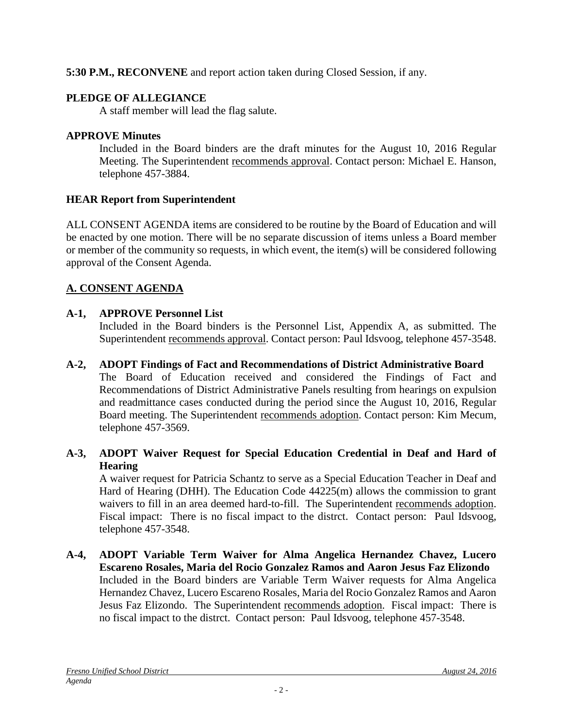**5:30 P.M., RECONVENE** and report action taken during Closed Session, if any.

## **PLEDGE OF ALLEGIANCE**

A staff member will lead the flag salute.

## **APPROVE Minutes**

Included in the Board binders are the draft minutes for the August 10, 2016 Regular Meeting. The Superintendent recommends approval. Contact person: Michael E. Hanson, telephone 457-3884.

# **HEAR Report from Superintendent**

ALL CONSENT AGENDA items are considered to be routine by the Board of Education and will be enacted by one motion. There will be no separate discussion of items unless a Board member or member of the community so requests, in which event, the item(s) will be considered following approval of the Consent Agenda.

# **A. CONSENT AGENDA**

# **A-1, APPROVE Personnel List**

Included in the Board binders is the Personnel List, Appendix A, as submitted. The Superintendent recommends approval. Contact person: Paul Idsvoog, telephone 457-3548.

## **A-2, ADOPT Findings of Fact and Recommendations of District Administrative Board**

The Board of Education received and considered the Findings of Fact and Recommendations of District Administrative Panels resulting from hearings on expulsion and readmittance cases conducted during the period since the August 10, 2016, Regular Board meeting. The Superintendent recommends adoption. Contact person: Kim Mecum, telephone 457-3569.

## **A-3, ADOPT Waiver Request for Special Education Credential in Deaf and Hard of Hearing**

A waiver request for Patricia Schantz to serve as a Special Education Teacher in Deaf and Hard of Hearing (DHH). The Education Code 44225(m) allows the commission to grant waivers to fill in an area deemed hard-to-fill. The Superintendent recommends adoption. Fiscal impact: There is no fiscal impact to the distrct. Contact person: Paul Idsvoog, telephone 457-3548.

**A-4, ADOPT Variable Term Waiver for Alma Angelica Hernandez Chavez, Lucero Escareno Rosales, Maria del Rocio Gonzalez Ramos and Aaron Jesus Faz Elizondo** Included in the Board binders are Variable Term Waiver requests for Alma Angelica Hernandez Chavez, Lucero Escareno Rosales, Maria del Rocio Gonzalez Ramos and Aaron Jesus Faz Elizondo. The Superintendent recommends adoption. Fiscal impact: There is no fiscal impact to the distrct. Contact person: Paul Idsvoog, telephone 457-3548.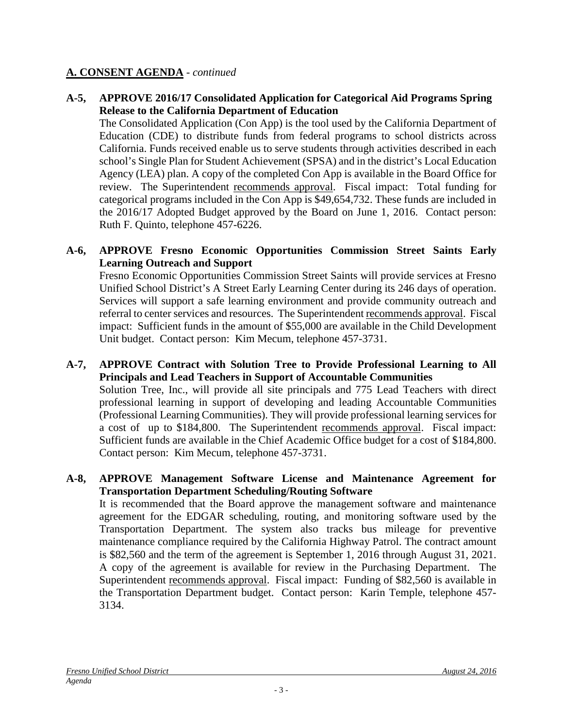#### **A-5, APPROVE 2016/17 Consolidated Application for Categorical Aid Programs Spring Release to the California Department of Education**

The Consolidated Application (Con App) is the tool used by the California Department of Education (CDE) to distribute funds from federal programs to school districts across California. Funds received enable us to serve students through activities described in each school's Single Plan for Student Achievement (SPSA) and in the district's Local Education Agency (LEA) plan. A copy of the completed Con App is available in the Board Office for review. The Superintendent recommends approval. Fiscal impact: Total funding for categorical programs included in the Con App is \$49,654,732. These funds are included in the 2016/17 Adopted Budget approved by the Board on June 1, 2016. Contact person: Ruth F. Quinto, telephone 457-6226.

#### **A-6, APPROVE Fresno Economic Opportunities Commission Street Saints Early Learning Outreach and Support**

Fresno Economic Opportunities Commission Street Saints will provide services at Fresno Unified School District's A Street Early Learning Center during its 246 days of operation. Services will support a safe learning environment and provide community outreach and referral to center services and resources. The Superintendent recommends approval. Fiscal impact: Sufficient funds in the amount of \$55,000 are available in the Child Development Unit budget. Contact person: Kim Mecum, telephone 457-3731.

**A-7, APPROVE Contract with Solution Tree to Provide Professional Learning to All Principals and Lead Teachers in Support of Accountable Communities** Solution Tree, Inc., will provide all site principals and 775 Lead Teachers with direct professional learning in support of developing and leading Accountable Communities (Professional Learning Communities). They will provide professional learning services for a cost of up to \$184,800. The Superintendent recommends approval. Fiscal impact: Sufficient funds are available in the Chief Academic Office budget for a cost of \$184,800. Contact person: Kim Mecum, telephone 457-3731.

#### **A-8, APPROVE Management Software License and Maintenance Agreement for Transportation Department Scheduling/Routing Software**

It is recommended that the Board approve the management software and maintenance agreement for the EDGAR scheduling, routing, and monitoring software used by the Transportation Department. The system also tracks bus mileage for preventive maintenance compliance required by the California Highway Patrol. The contract amount is \$82,560 and the term of the agreement is September 1, 2016 through August 31, 2021. A copy of the agreement is available for review in the Purchasing Department. The Superintendent recommends approval. Fiscal impact: Funding of \$82,560 is available in the Transportation Department budget. Contact person: Karin Temple, telephone 457- 3134.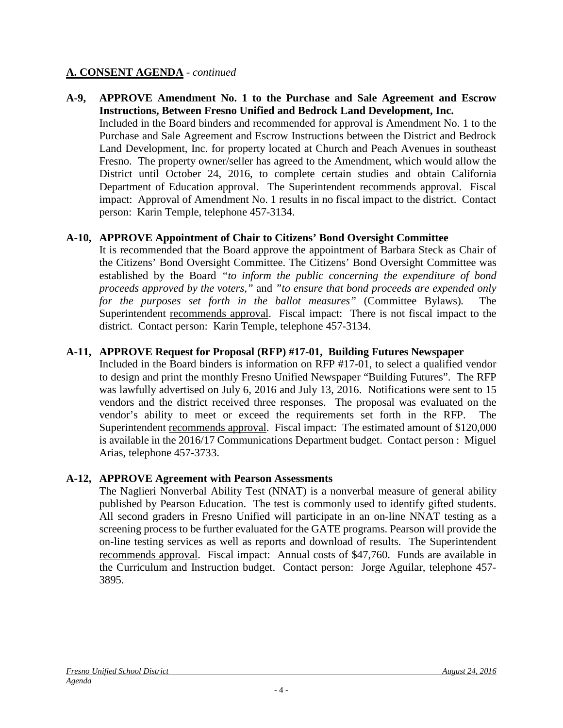#### **A-9, APPROVE Amendment No. 1 to the Purchase and Sale Agreement and Escrow Instructions, Between Fresno Unified and Bedrock Land Development, Inc.** Included in the Board binders and recommended for approval is Amendment No. 1 to the Purchase and Sale Agreement and Escrow Instructions between the District and Bedrock Land Development, Inc. for property located at Church and Peach Avenues in southeast Fresno. The property owner/seller has agreed to the Amendment, which would allow the District until October 24, 2016, to complete certain studies and obtain California Department of Education approval. The Superintendent recommends approval. Fiscal impact: Approval of Amendment No. 1 results in no fiscal impact to the district. Contact person: Karin Temple, telephone 457-3134.

#### **A-10, APPROVE Appointment of Chair to Citizens' Bond Oversight Committee**

It is recommended that the Board approve the appointment of Barbara Steck as Chair of the Citizens' Bond Oversight Committee. The Citizens' Bond Oversight Committee was established by the Board *"to inform the public concerning the expenditure of bond proceeds approved by the voters,"* and *"to ensure that bond proceeds are expended only for the purposes set forth in the ballot measures"* (Committee Bylaws)*.* The Superintendent recommends approval. Fiscal impact: There is not fiscal impact to the district. Contact person: Karin Temple, telephone 457-3134.

#### **A-11, APPROVE Request for Proposal (RFP) #17-01, Building Futures Newspaper**

Included in the Board binders is information on RFP #17-01, to select a qualified vendor to design and print the monthly Fresno Unified Newspaper "Building Futures". The RFP was lawfully advertised on July 6, 2016 and July 13, 2016. Notifications were sent to 15 vendors and the district received three responses. The proposal was evaluated on the vendor's ability to meet or exceed the requirements set forth in the RFP. The Superintendent recommends approval. Fiscal impact: The estimated amount of \$120,000 is available in the 2016/17 Communications Department budget. Contact person : Miguel Arias, telephone 457-3733.

#### **A-12, APPROVE Agreement with Pearson Assessments**

The Naglieri Nonverbal Ability Test (NNAT) is a nonverbal measure of general ability published by Pearson Education. The test is commonly used to identify gifted students. All second graders in Fresno Unified will participate in an on-line NNAT testing as a screening process to be further evaluated for the GATE programs. Pearson will provide the on-line testing services as well as reports and download of results. The Superintendent recommends approval. Fiscal impact: Annual costs of \$47,760. Funds are available in the Curriculum and Instruction budget. Contact person: Jorge Aguilar, telephone 457- 3895.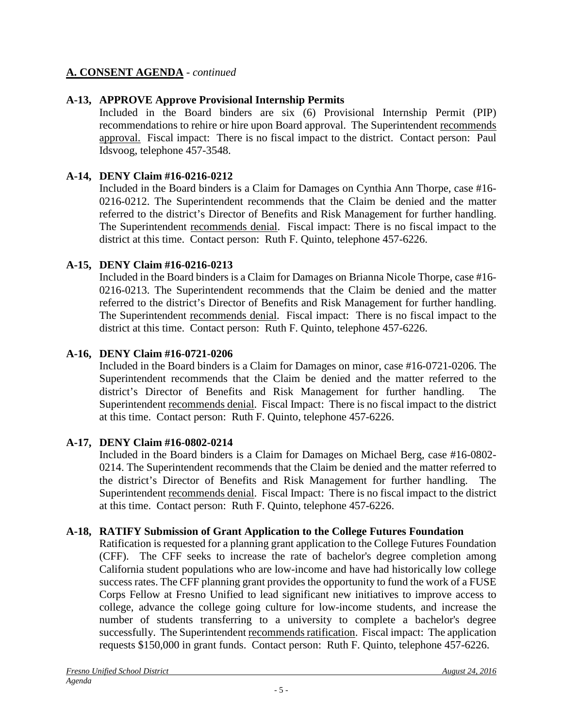## **A-13, APPROVE Approve Provisional Internship Permits**

Included in the Board binders are six (6) Provisional Internship Permit (PIP) recommendations to rehire or hire upon Board approval. The Superintendent recommends approval. Fiscal impact: There is no fiscal impact to the district. Contact person: Paul Idsvoog, telephone 457-3548.

## **A-14, DENY Claim #16-0216-0212**

Included in the Board binders is a Claim for Damages on Cynthia Ann Thorpe, case #16- 0216-0212. The Superintendent recommends that the Claim be denied and the matter referred to the district's Director of Benefits and Risk Management for further handling. The Superintendent recommends denial. Fiscal impact: There is no fiscal impact to the district at this time. Contact person: Ruth F. Quinto, telephone 457-6226.

## **A-15, DENY Claim #16-0216-0213**

Included in the Board binders is a Claim for Damages on Brianna Nicole Thorpe, case #16- 0216-0213. The Superintendent recommends that the Claim be denied and the matter referred to the district's Director of Benefits and Risk Management for further handling. The Superintendent recommends denial. Fiscal impact: There is no fiscal impact to the district at this time. Contact person: Ruth F. Quinto, telephone 457-6226.

## **A-16, DENY Claim #16-0721-0206**

Included in the Board binders is a Claim for Damages on minor, case #16-0721-0206. The Superintendent recommends that the Claim be denied and the matter referred to the district's Director of Benefits and Risk Management for further handling. The Superintendent recommends denial. Fiscal Impact: There is no fiscal impact to the district at this time. Contact person: Ruth F. Quinto, telephone 457-6226.

## **A-17, DENY Claim #16-0802-0214**

Included in the Board binders is a Claim for Damages on Michael Berg, case #16-0802- 0214. The Superintendent recommends that the Claim be denied and the matter referred to the district's Director of Benefits and Risk Management for further handling. The Superintendent recommends denial. Fiscal Impact: There is no fiscal impact to the district at this time. Contact person: Ruth F. Quinto, telephone 457-6226.

## **A-18, RATIFY Submission of Grant Application to the College Futures Foundation**

Ratification is requested for a planning grant application to the College Futures Foundation (CFF). The CFF seeks to increase the rate of bachelor's degree completion among California student populations who are low-income and have had historically low college success rates. The CFF planning grant provides the opportunity to fund the work of a FUSE Corps Fellow at Fresno Unified to lead significant new initiatives to improve access to college, advance the college going culture for low-income students, and increase the number of students transferring to a university to complete a bachelor's degree successfully. The Superintendent recommends ratification. Fiscal impact: The application requests \$150,000 in grant funds. Contact person: Ruth F. Quinto, telephone 457-6226.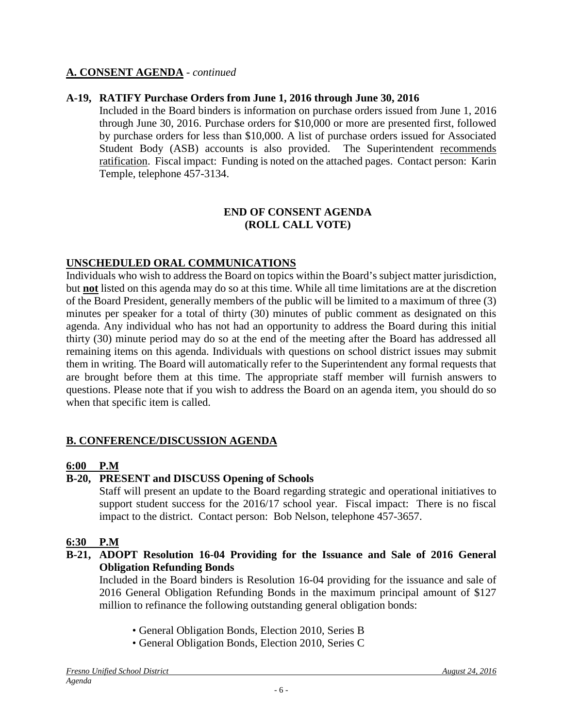#### **A-19, RATIFY Purchase Orders from June 1, 2016 through June 30, 2016**

Included in the Board binders is information on purchase orders issued from June 1, 2016 through June 30, 2016. Purchase orders for \$10,000 or more are presented first, followed by purchase orders for less than \$10,000. A list of purchase orders issued for Associated Student Body (ASB) accounts is also provided. The Superintendent recommends ratification. Fiscal impact: Funding is noted on the attached pages. Contact person: Karin Temple, telephone 457-3134.

#### **END OF CONSENT AGENDA (ROLL CALL VOTE)**

#### **UNSCHEDULED ORAL COMMUNICATIONS**

Individuals who wish to address the Board on topics within the Board's subject matter jurisdiction, but **not** listed on this agenda may do so at this time. While all time limitations are at the discretion of the Board President, generally members of the public will be limited to a maximum of three (3) minutes per speaker for a total of thirty (30) minutes of public comment as designated on this agenda. Any individual who has not had an opportunity to address the Board during this initial thirty (30) minute period may do so at the end of the meeting after the Board has addressed all remaining items on this agenda. Individuals with questions on school district issues may submit them in writing. The Board will automatically refer to the Superintendent any formal requests that are brought before them at this time. The appropriate staff member will furnish answers to questions. Please note that if you wish to address the Board on an agenda item, you should do so when that specific item is called.

## **B. CONFERENCE/DISCUSSION AGENDA**

#### **6:00 P.M**

## **B-20, PRESENT and DISCUSS Opening of Schools**

Staff will present an update to the Board regarding strategic and operational initiatives to support student success for the 2016/17 school year. Fiscal impact: There is no fiscal impact to the district. Contact person: Bob Nelson, telephone 457-3657.

#### **6:30 P.M**

#### **B-21, ADOPT Resolution 16-04 Providing for the Issuance and Sale of 2016 General Obligation Refunding Bonds**

Included in the Board binders is Resolution 16-04 providing for the issuance and sale of 2016 General Obligation Refunding Bonds in the maximum principal amount of \$127 million to refinance the following outstanding general obligation bonds:

- General Obligation Bonds, Election 2010, Series B
- General Obligation Bonds, Election 2010, Series C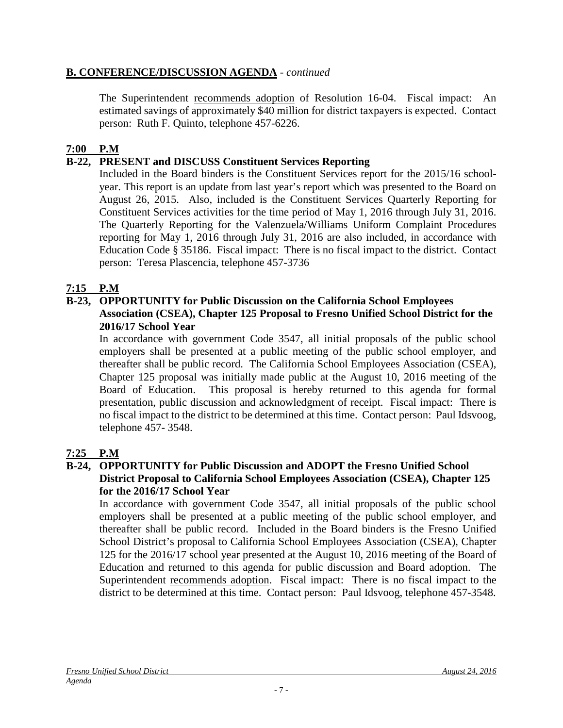## **B. CONFERENCE/DISCUSSION AGENDA** - *continued*

The Superintendent recommends adoption of Resolution 16-04. Fiscal impact: An estimated savings of approximately \$40 million for district taxpayers is expected. Contact person: Ruth F. Quinto, telephone 457-6226.

## **7:00 P.M**

## **B-22, PRESENT and DISCUSS Constituent Services Reporting**

Included in the Board binders is the Constituent Services report for the 2015/16 schoolyear. This report is an update from last year's report which was presented to the Board on August 26, 2015. Also, included is the Constituent Services Quarterly Reporting for Constituent Services activities for the time period of May 1, 2016 through July 31, 2016. The Quarterly Reporting for the Valenzuela/Williams Uniform Complaint Procedures reporting for May 1, 2016 through July 31, 2016 are also included, in accordance with Education Code § 35186. Fiscal impact: There is no fiscal impact to the district. Contact person: Teresa Plascencia, telephone 457-3736

## **7:15 P.M**

#### **B-23, OPPORTUNITY for Public Discussion on the California School Employees Association (CSEA), Chapter 125 Proposal to Fresno Unified School District for the 2016/17 School Year**

In accordance with government Code 3547, all initial proposals of the public school employers shall be presented at a public meeting of the public school employer, and thereafter shall be public record. The California School Employees Association (CSEA), Chapter 125 proposal was initially made public at the August 10, 2016 meeting of the Board of Education. This proposal is hereby returned to this agenda for formal presentation, public discussion and acknowledgment of receipt. Fiscal impact: There is no fiscal impact to the district to be determined at this time. Contact person: Paul Idsvoog, telephone 457- 3548.

## **7:25 P.M**

#### **B-24, OPPORTUNITY for Public Discussion and ADOPT the Fresno Unified School District Proposal to California School Employees Association (CSEA), Chapter 125 for the 2016/17 School Year**

In accordance with government Code 3547, all initial proposals of the public school employers shall be presented at a public meeting of the public school employer, and thereafter shall be public record. Included in the Board binders is the Fresno Unified School District's proposal to California School Employees Association (CSEA), Chapter 125 for the 2016/17 school year presented at the August 10, 2016 meeting of the Board of Education and returned to this agenda for public discussion and Board adoption. The Superintendent recommends adoption. Fiscal impact: There is no fiscal impact to the district to be determined at this time. Contact person: Paul Idsvoog, telephone 457-3548.